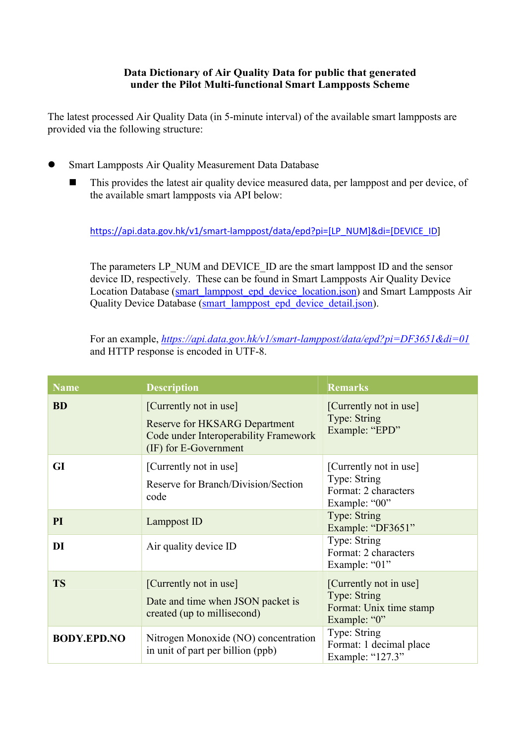## Data Dictionary of Air Quality Data for public that generated under the Pilot Multi-functional Smart Lampposts Scheme

The latest processed Air Quality Data (in 5-minute interval) of the available smart lampposts are provided via the following structure:

- Smart Lampposts Air Quality Measurement Data Database
	- This provides the latest air quality device measured data, per lamppost and per device, of the available smart lampposts via API below:

https://api.data.gov.hk/v1/smart-lamppost/data/epd?pi=[LP\_NUM]&di=[DEVICE\_ID]

The parameters LP\_NUM and DEVICE\_ID are the smart lamppost ID and the sensor device ID, respectively. These can be found in Smart Lampposts Air Quality Device Location Database (smart\_lamppost\_epd\_device\_location.json) and Smart Lampposts Air Quality Device Database (smart\_lamppost\_epd\_device\_detail.json).

For an example, https://api.data.gov.hk/v1/smart-lamppost/data/epd?pi=DF3651&di=01 and HTTP response is encoded in UTF-8.

| <b>Name</b>        | <b>Description</b>                                                                                                               | <b>Remarks</b>                                                                    |
|--------------------|----------------------------------------------------------------------------------------------------------------------------------|-----------------------------------------------------------------------------------|
| <b>BD</b>          | [Currently not in use]<br><b>Reserve for HKSARG Department</b><br>Code under Interoperability Framework<br>(IF) for E-Government | [Currently not in use]<br>Type: String<br>Example: "EPD"                          |
| GI                 | [Currently not in use]<br>Reserve for Branch/Division/Section<br>code                                                            | [Currently not in use]<br>Type: String<br>Format: 2 characters<br>Example: "00"   |
| PI                 | Lamppost ID                                                                                                                      | Type: String<br>Example: "DF3651"                                                 |
| DI                 | Air quality device ID                                                                                                            | Type: String<br>Format: 2 characters<br>Example: "01"                             |
| <b>TS</b>          | [Currently not in use]<br>Date and time when JSON packet is<br>created (up to millisecond)                                       | [Currently not in use]<br>Type: String<br>Format: Unix time stamp<br>Example: "0" |
| <b>BODY.EPD.NO</b> | Nitrogen Monoxide (NO) concentration<br>in unit of part per billion (ppb)                                                        | Type: String<br>Format: 1 decimal place<br>Example: "127.3"                       |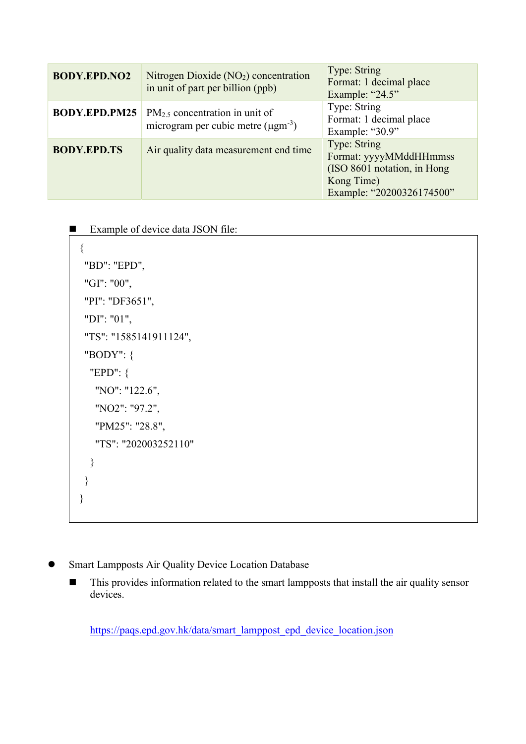| <b>BODY.EPD.NO2</b>  | Nitrogen Dioxide $(NO2)$ concentration<br>in unit of part per billion (ppb)                | Type: String<br>Format: 1 decimal place<br>Example: "24.5"                                                        |
|----------------------|--------------------------------------------------------------------------------------------|-------------------------------------------------------------------------------------------------------------------|
| <b>BODY.EPD.PM25</b> | $PM_{2.5}$ concentration in unit of<br>microgram per cubic metre $(\mu$ gm <sup>-3</sup> ) | Type: String<br>Format: 1 decimal place<br>Example: "30.9"                                                        |
| <b>BODY.EPD.TS</b>   | Air quality data measurement end time                                                      | Type: String<br>Format: yyyyMMddHHmmss<br>(ISO 8601 notation, in Hong)<br>Kong Time)<br>Example: "20200326174500" |

■ Example of device data JSON file:

```
 { 
 "BD": "EPD", 
 "GI": "00", 
 "PI": "DF3651", 
 "DI": "01", 
 "TS": "1585141911124", 
 "BODY": { 
  "EPD": { 
    "NO": "122.6", 
   "NO2": "97.2", 
    "PM25": "28.8", 
    "TS": "202003252110" 
  } 
 } 
}
```
- **Smart Lampposts Air Quality Device Location Database** 
	- This provides information related to the smart lampposts that install the air quality sensor devices.

https://paqs.epd.gov.hk/data/smart\_lamppost\_epd\_device\_location.json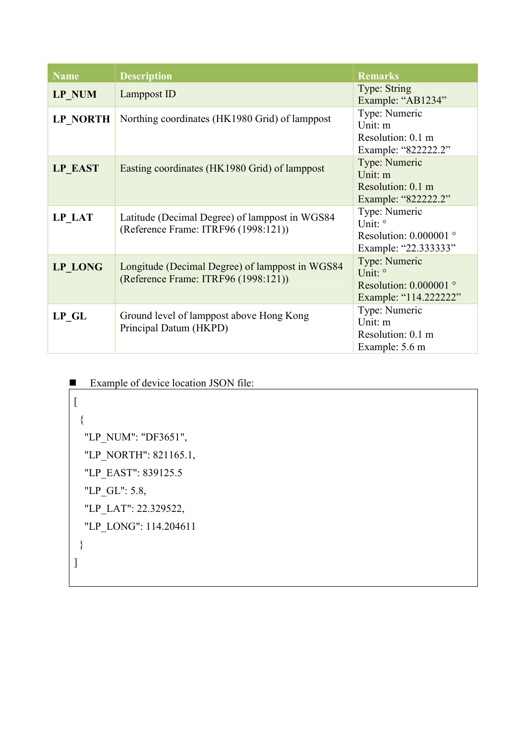| <b>Name</b>     | <b>Description</b>                                                                      | <b>Remarks</b>                                                                 |
|-----------------|-----------------------------------------------------------------------------------------|--------------------------------------------------------------------------------|
| <b>LP NUM</b>   | Lamppost ID                                                                             | Type: String<br>Example: "AB1234"                                              |
| <b>LP NORTH</b> | Northing coordinates (HK1980 Grid) of lamppost                                          | Type: Numeric<br>Unit: m<br>Resolution: 0.1 m<br>Example: "822222.2"           |
| <b>LP EAST</b>  | Easting coordinates (HK1980 Grid) of lamppost                                           | Type: Numeric<br>Unit: m<br>Resolution: 0.1 m<br>Example: "822222.2"           |
| LP LAT          | Latitude (Decimal Degree) of lamppost in WGS84<br>(Reference Frame: ITRF96 (1998:121))  | Type: Numeric<br>Unit: °<br>Resolution: $0.000001$ °<br>Example: "22.3333333"  |
| <b>LP LONG</b>  | Longitude (Decimal Degree) of lamppost in WGS84<br>(Reference Frame: ITRF96 (1998:121)) | Type: Numeric<br>Unit: °<br>Resolution: $0.000001$ °<br>Example: "114.2222222" |
| <b>LP GL</b>    | Ground level of lamppost above Hong Kong<br>Principal Datum (HKPD)                      | Type: Numeric<br>Unit: m<br>Resolution: 0.1 m<br>Example: 5.6 m                |

| Example of device location JSON file: |
|---------------------------------------|
|                                       |
|                                       |
| "LP NUM": "DF3651",                   |
| "LP NORTH": 821165.1,                 |
| "LP EAST": 839125.5                   |
| "LP GL": 5.8,                         |
| "LP LAT": 22.329522,                  |
| "LP LONG": 114.204611                 |
|                                       |
|                                       |
|                                       |